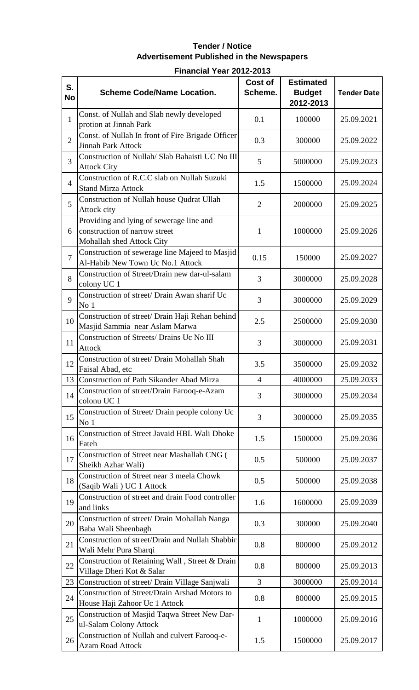## **Tender / Notice Advertisement Published in the Newspapers**

## **Financial Year 2012-2013**

| S.<br><b>No</b> | <b>Scheme Code/Name Location.</b>                                                                      | <b>Cost of</b><br>Scheme. | <b>Estimated</b><br><b>Budget</b><br>2012-2013 | <b>Tender Date</b> |
|-----------------|--------------------------------------------------------------------------------------------------------|---------------------------|------------------------------------------------|--------------------|
| $\mathbf{1}$    | Const. of Nullah and Slab newly developed<br>protion at Jinnah Park                                    | 0.1                       | 100000                                         | 25.09.2021         |
| $\overline{2}$  | Const. of Nullah In front of Fire Brigade Officer<br><b>Jinnah Park Attock</b>                         | 0.3                       | 300000                                         | 25.09.2022         |
| 3               | Construction of Nullah/ Slab Bahaisti UC No III<br><b>Attock City</b>                                  | 5                         | 5000000                                        | 25.09.2023         |
| $\overline{4}$  | Construction of R.C.C slab on Nullah Suzuki<br><b>Stand Mirza Attock</b>                               | 1.5                       | 1500000                                        | 25.09.2024         |
| 5               | Construction of Nullah house Qudrat Ullah<br>Attock city                                               | $\overline{2}$            | 2000000                                        | 25.09.2025         |
| 6               | Providing and lying of sewerage line and<br>construction of narrow street<br>Mohallah shed Attock City | $\mathbf{1}$              | 1000000                                        | 25.09.2026         |
| $\overline{7}$  | Construction of sewerage line Majeed to Masjid<br>Al-Habib New Town Uc No.1 Attock                     | 0.15                      | 150000                                         | 25.09.2027         |
| 8               | Construction of Street/Drain new dar-ul-salam<br>colony UC 1                                           | 3                         | 3000000                                        | 25.09.2028         |
| 9               | Construction of street/ Drain Awan sharif Uc<br>No <sub>1</sub>                                        | 3                         | 3000000                                        | 25.09.2029         |
| 10              | Construction of street/ Drain Haji Rehan behind<br>Masjid Sammia near Aslam Marwa                      | 2.5                       | 2500000                                        | 25.09.2030         |
| 11              | Construction of Streets/ Drains Uc No III<br><b>Attock</b>                                             | 3                         | 3000000                                        | 25.09.2031         |
| 12              | Construction of street/ Drain Mohallah Shah<br>Faisal Abad, etc                                        | 3.5                       | 3500000                                        | 25.09.2032         |
| 13              | Construction of Path Sikander Abad Mirza                                                               | $\overline{4}$            | 4000000                                        | 25.09.2033         |
| 14              | Construction of street/Drain Farooq-e-Azam<br>colonu UC 1                                              | 3                         | 3000000                                        | 25.09.2034         |
| 15              | Construction of Street/ Drain people colony Uc<br>No <sub>1</sub>                                      | 3                         | 3000000                                        | 25.09.2035         |
| 16              | Construction of Street Javaid HBL Wali Dhoke<br>Fateh                                                  | 1.5                       | 1500000                                        | 25.09.2036         |
| 17              | Construction of Street near Mashallah CNG (<br>Sheikh Azhar Wali)                                      | 0.5                       | 500000                                         | 25.09.2037         |
| 18              | Construction of Street near 3 meela Chowk<br>(Saqib Wali) UC 1 Attock                                  | 0.5                       | 500000                                         | 25.09.2038         |
| 19              | Construction of street and drain Food controller<br>and links                                          | 1.6                       | 1600000                                        | 25.09.2039         |
| 20              | Construction of street/ Drain Mohallah Nanga<br>Baba Wali Sheenbagh                                    | 0.3                       | 300000                                         | 25.09.2040         |
| 21              | Construction of street/Drain and Nullah Shabbir<br>Wali Mehr Pura Sharqi                               | 0.8                       | 800000                                         | 25.09.2012         |
| 22              | Construction of Retaining Wall, Street & Drain<br>Village Dheri Kot & Salar                            | 0.8                       | 800000                                         | 25.09.2013         |
| 23              | Construction of street/ Drain Village Sanjwali                                                         | 3                         | 3000000                                        | 25.09.2014         |
| 24              | Construction of Street/Drain Arshad Motors to<br>House Haji Zahoor Uc 1 Attock                         | 0.8                       | 800000                                         | 25.09.2015         |
| 25              | Construction of Masjid Taqwa Street New Dar-<br>ul-Salam Colony Attock                                 | 1                         | 1000000                                        | 25.09.2016         |
| 26              | Construction of Nullah and culvert Farooq-e-<br>Azam Road Attock                                       | 1.5                       | 1500000                                        | 25.09.2017         |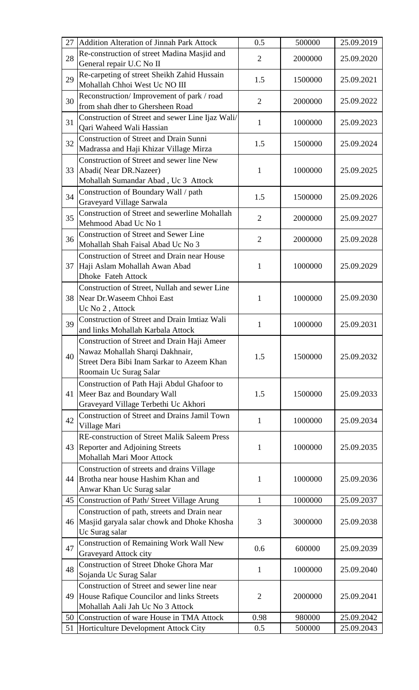| 27 | Addition Alteration of Jinnah Park Attock           | 0.5            | 500000  | 25.09.2019 |
|----|-----------------------------------------------------|----------------|---------|------------|
|    | Re-construction of street Madina Masjid and         |                |         |            |
| 28 | General repair U.C No II                            | $\overline{2}$ | 2000000 | 25.09.2020 |
|    | Re-carpeting of street Sheikh Zahid Hussain         |                |         |            |
| 29 | Mohallah Chhoi West Uc NO III                       | 1.5            | 1500000 | 25.09.2021 |
|    | Reconstruction/Improvement of park / road           |                |         |            |
| 30 | from shah dher to Ghersheen Road                    | $\overline{2}$ | 2000000 | 25.09.2022 |
|    | Construction of Street and sewer Line Ijaz Wali/    |                |         |            |
| 31 | Qari Waheed Wali Hassian                            | $\mathbf{1}$   | 1000000 | 25.09.2023 |
|    |                                                     |                |         |            |
| 32 | <b>Construction of Street and Drain Sunni</b>       | 1.5            | 1500000 | 25.09.2024 |
|    | Madrassa and Haji Khizar Village Mirza              |                |         |            |
|    | Construction of Street and sewer line New           |                |         |            |
| 33 | Abadi(Near DR.Nazeer)                               | 1              | 1000000 | 25.09.2025 |
|    | Mohallah Sumandar Abad, Uc 3 Attock                 |                |         |            |
| 34 | Construction of Boundary Wall / path                | 1.5            | 1500000 | 25.09.2026 |
|    | Graveyard Village Sarwala                           |                |         |            |
| 35 | Construction of Street and sewerline Mohallah       | $\overline{2}$ | 2000000 | 25.09.2027 |
|    | Mehmood Abad Uc No 1                                |                |         |            |
| 36 | <b>Construction of Street and Sewer Line</b>        | $\overline{2}$ | 2000000 | 25.09.2028 |
|    | Mohallah Shah Faisal Abad Uc No 3                   |                |         |            |
|    | <b>Construction of Street and Drain near House</b>  |                |         |            |
| 37 | Haji Aslam Mohallah Awan Abad                       | 1              | 1000000 | 25.09.2029 |
|    | Dhoke Fateh Attock                                  |                |         |            |
|    | Construction of Street, Nullah and sewer Line       |                |         |            |
| 38 | Near Dr. Waseem Chhoi East                          | $\mathbf{1}$   | 1000000 | 25.09.2030 |
|    | Uc No 2, Attock                                     |                |         |            |
|    | Construction of Street and Drain Imtiaz Wali        |                |         |            |
| 39 | and links Mohallah Karbala Attock                   | $\mathbf{1}$   | 1000000 | 25.09.2031 |
|    | <b>Construction of Street and Drain Haji Ameer</b>  |                |         |            |
|    | Nawaz Mohallah Sharqi Dakhnair,                     |                |         |            |
| 40 | Street Dera Bibi Inam Sarkar to Azeem Khan          | 1.5            | 1500000 | 25.09.2032 |
|    | Roomain Uc Surag Salar                              |                |         |            |
|    |                                                     |                |         |            |
|    | Construction of Path Haji Abdul Ghafoor to          |                |         | 25.09.2033 |
| 41 | Meer Baz and Boundary Wall                          | 1.5            | 1500000 |            |
|    | Graveyard Village Terbethi Uc Akhori                |                |         |            |
| 42 | Construction of Street and Drains Jamil Town        | 1              | 1000000 | 25.09.2034 |
|    | Village Mari                                        |                |         |            |
|    | <b>RE-construction of Street Malik Saleem Press</b> |                |         |            |
| 43 | Reporter and Adjoining Streets                      | 1              | 1000000 | 25.09.2035 |
|    | Mohallah Mari Moor Attock                           |                |         |            |
|    | Construction of streets and drains Village          |                |         |            |
| 44 | Brotha near house Hashim Khan and                   | $\mathbf{1}$   | 1000000 | 25.09.2036 |
|    | Anwar Khan Uc Surag salar                           |                |         |            |
| 45 | Construction of Path/ Street Village Arung          | $\mathbf{1}$   | 1000000 | 25.09.2037 |
|    | Construction of path, streets and Drain near        |                |         |            |
| 46 | Masjid garyala salar chowk and Dhoke Khosha         | 3              | 3000000 | 25.09.2038 |
|    | Uc Surag salar                                      |                |         |            |
|    | Construction of Remaining Work Wall New             |                |         |            |
| 47 | Graveyard Attock city                               | 0.6            | 600000  | 25.09.2039 |
|    | <b>Construction of Street Dhoke Ghora Mar</b>       |                |         |            |
| 48 | Sojanda Uc Surag Salar                              | 1              | 1000000 | 25.09.2040 |
|    | Construction of Street and sewer line near          |                |         |            |
| 49 | House Rafique Councilor and links Streets           | $\overline{2}$ | 2000000 | 25.09.2041 |
|    | Mohallah Aali Jah Uc No 3 Attock                    |                |         |            |
| 50 | Construction of ware House in TMA Attock            | 0.98           | 980000  | 25.09.2042 |
| 51 | Horticulture Development Attock City                | 0.5            | 500000  | 25.09.2043 |
|    |                                                     |                |         |            |